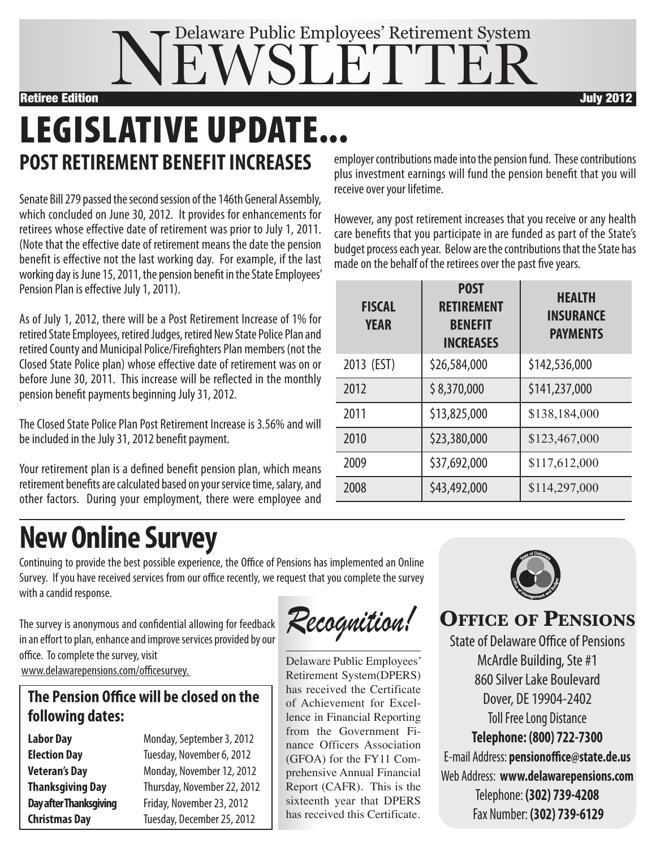

# **POST RETIREMENT BENEFITINCREASES LEGISLATIVE UPDATE...**

Senate Bill 279 passed the second session of the 146th General Assembly, which concluded on June 30, 2012. It provides for enhancements for retirees whose effective date of retirement was prior to July 1, 2011. (Note that the effective date of retirement means the date the pension benefit is effective not the last working day. For example, if the last working day is June 15, 2011, the pension benefit in the State Employees' Pension Plan is effective July 1, 2011).

As of July 1, 2012, there will be a Post Retirement Increase of 1% for retired State Employees, retired Judges, retired New State Police Plan and retired County and Municipal Police/Firefighters Plan members (not the Closed State Police plan) whose effective date of retirement was on or before June 30, 2011. This increase will be reflected in the monthly pension benefit payments beginning July 31, 2012.

The Closed State Police Plan Post Retirement Increase is 3.56% and will be included in the July 31, 2012 benefit payment.

Your retirement plan is a defined benefit pension plan, which means retirement benefits are calculated based on your service time, salary, and other factors. During your employment, there were employee and employer contributions made into the pension fund. These contributions plus investment earnings will fund the pension benefit that you will receive over your lifetime.

However, any post retirement increases that you receive or any health care benefits that you participate in are funded as part of the State's budget process each year. Below are the contributions that the State has made on the behalf of the retirees over the past five years.

| <b>FISCAL</b><br><b>YEAR</b> | <b>POST</b><br><b>RETIREMENT</b><br><b>BENEFIT</b><br><b>INCREASES</b> | <b>HEALTH</b><br><b>INSURANCE</b><br><b>PAYMENTS</b> |
|------------------------------|------------------------------------------------------------------------|------------------------------------------------------|
| 2013 (EST)                   | \$26,584,000                                                           | \$142,536,000                                        |
| 2012                         | \$8,370,000                                                            | \$141,237,000                                        |
| 2011                         | \$13,825,000                                                           | \$138,184,000                                        |
| 2010                         | \$23,380,000                                                           | \$123,467,000                                        |
| 2009                         | \$37,692,000                                                           | \$117,612,000                                        |
| 2008                         | \$43,492,000                                                           | \$114,297,000                                        |

## **NewOnline Survey**

Continuing to provide the best possible experience, the Office of Pensions has implemented an Online Survey. If you have received services from our office recently, we request that you complete the survey with a candid response.

The survey is anonymous and confidential allowing for feedback in an effort to plan, enhance and improve services provided by our office. To complete the survey, visit www.delawarepensions.com/officesurvey.

### **The Pension Office will be closed on the following dates:**

**Labor Day** Monday, September 3, 2012 **Election Day** Tuesday, November 6, 2012 **Veteran's Day** Monday, November12,2012 **Thanksgiving Day** Thursday, November 22, 2012 **Day after Thanksgiving** Friday, November 23, 2012 **Christmas Day** Tuesday, December25,2012

Recognition!

Delaware Public Employees' Retirement System(DPERS) has received the Certificate of Achievement for Excellence in Financial Reporting from the Government Finance Officers Association (GFOA) for the FY11 Comprehensive Annual Financial Report (CAFR). This is the sixteenth year that DPERS has received this Certificate.



### **Office Of PensiOns**

**Toll Free Long Distance Telephone: (800) 722-7300** E-mail Address: **pensionoffice@state.de.us** Web Address: **www.delawarepensions.com** Telephone: **(302) 739-4208** Fax Number: **(302) 739-6129** State of Delaware Office of Pensions McArdle Building, Ste #1 860SilverLake Boulevard Dover, DE 19904-2402